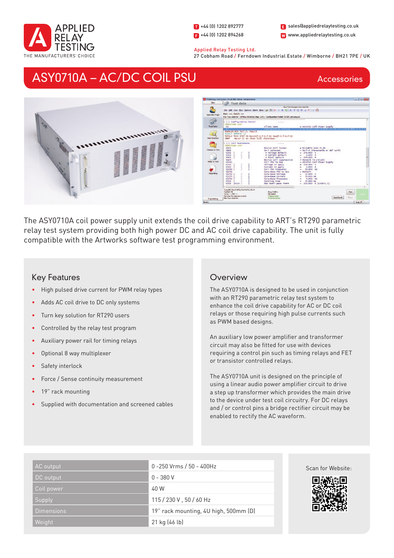

1 +44 (0) 1202 892777  $\bullet$  +44 (0) 1202 894268

W www.appliedrelaytesting.co.uk sales@appliedrelaytesting.co.uk

#### Applied Relay Testing Ltd.

27 Cobham Road / Ferndown Industrial Estate / Wimborne / BH21 7PE / UK

# ASY0710A – AC/DC COIL PSU

Accessories



The ASY0710A coil power supply unit extends the coil drive capability to ART's RT290 parametric relay test system providing both high power DC and AC coil drive capability. The unit is fully compatible with the Artworks software test programming environment.

## Key Features

- High pulsed drive current for PWM relay types
- Adds AC coil drive to DC only systems
- Turn key solution for RT290 users
- Controlled by the relay test program
- Auxiliary power rail for timing relays
- Optional 8 way multiplexer
- Safety interlock
- Force / Sense continuity measurement
- 19" rack mounting
- Supplied with documentation and screened cables

## **Overview**

The ASY0710A is designed to be used in conjunction with an RT290 parametric relay test system to enhance the coil drive capability for AC or DC coil relays or those requiring high pulse currents such as PWM based designs.

An auxiliary low power amplifier and transformer circuit may also be fitted for use with devices requiring a control pin such as timing relays and FET or transistor controlled relays.

The ASY0710A unit is designed on the principle of using a linear audio power amplifier circuit to drive a step up transformer which provides the main drive to the device under test coil circuitry. For DC relays and / or control pins a bridge rectifier circuit may be enabled to rectify the AC waveform.

| AC output         | 0 -250 Vrms / 50 - 400Hz              |
|-------------------|---------------------------------------|
| DC output         | $0 - 380V$                            |
| Coil power        | 40 W                                  |
| Supply            | 115 / 230 V, 50 / 60 Hz               |
| <b>Dimensions</b> | 19" rack mounting, 4U high, 500mm (D) |
| Weight            | 21 kg (46 lb)                         |



Scan for Website: